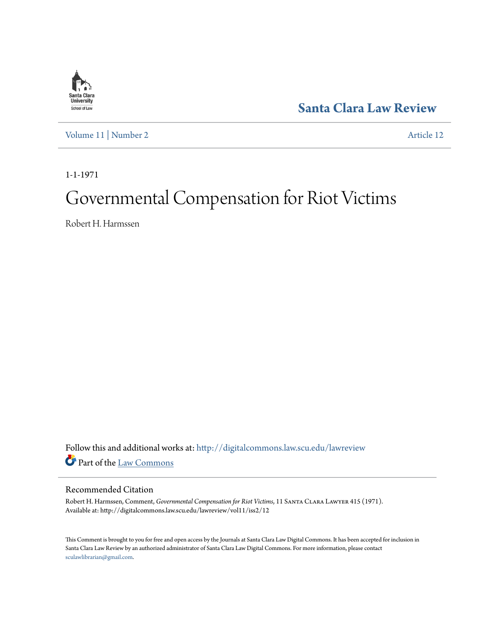

**[Santa Clara Law Review](http://digitalcommons.law.scu.edu/lawreview?utm_source=digitalcommons.law.scu.edu%2Flawreview%2Fvol11%2Fiss2%2F12&utm_medium=PDF&utm_campaign=PDFCoverPages)**

[Volume 11](http://digitalcommons.law.scu.edu/lawreview/vol11?utm_source=digitalcommons.law.scu.edu%2Flawreview%2Fvol11%2Fiss2%2F12&utm_medium=PDF&utm_campaign=PDFCoverPages) | [Number 2](http://digitalcommons.law.scu.edu/lawreview/vol11/iss2?utm_source=digitalcommons.law.scu.edu%2Flawreview%2Fvol11%2Fiss2%2F12&utm_medium=PDF&utm_campaign=PDFCoverPages) [Article 12](http://digitalcommons.law.scu.edu/lawreview/vol11/iss2/12?utm_source=digitalcommons.law.scu.edu%2Flawreview%2Fvol11%2Fiss2%2F12&utm_medium=PDF&utm_campaign=PDFCoverPages)

1-1-1971

# Governmental Compensation for Riot Victims

Robert H. Harmssen

Follow this and additional works at: [http://digitalcommons.law.scu.edu/lawreview](http://digitalcommons.law.scu.edu/lawreview?utm_source=digitalcommons.law.scu.edu%2Flawreview%2Fvol11%2Fiss2%2F12&utm_medium=PDF&utm_campaign=PDFCoverPages) Part of the [Law Commons](http://network.bepress.com/hgg/discipline/578?utm_source=digitalcommons.law.scu.edu%2Flawreview%2Fvol11%2Fiss2%2F12&utm_medium=PDF&utm_campaign=PDFCoverPages)

## Recommended Citation

Robert H. Harmssen, Comment, *Governmental Compensation for Riot Victims*, 11 Santa Clara Lawyer 415 (1971). Available at: http://digitalcommons.law.scu.edu/lawreview/vol11/iss2/12

This Comment is brought to you for free and open access by the Journals at Santa Clara Law Digital Commons. It has been accepted for inclusion in Santa Clara Law Review by an authorized administrator of Santa Clara Law Digital Commons. For more information, please contact [sculawlibrarian@gmail.com](mailto:sculawlibrarian@gmail.com).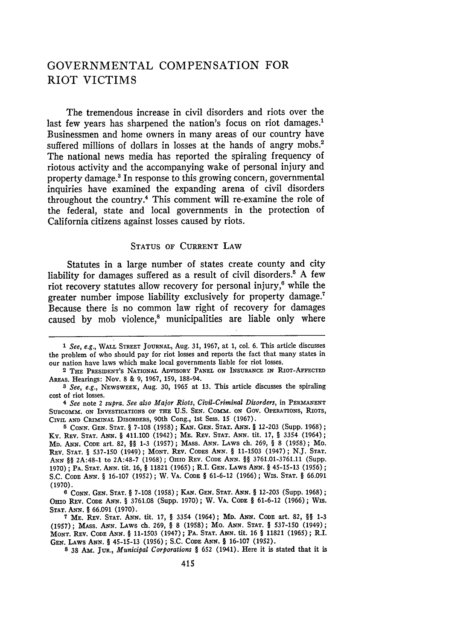## **GOVERNMENTAL COMPENSATION** FOR RIOT VICTIMS

The tremendous increase in civil disorders and riots over the last few years has sharpened the nation's focus on riot damages.<sup>1</sup> Businessmen and home owners in many areas of our country have suffered millions of dollars in losses at the hands of angry mobs.<sup>2</sup> The national news media has reported the spiraling frequency of riotous activity and the accompanying wake of personal injury and property damage.3 In response to this growing concern, governmental inquiries have examined the expanding arena of civil disorders throughout the country.4 This comment will re-examine the role of the federal, state and local governments in the protection of California citizens against losses caused by riots.

#### **STATUS** OF CURRENT LAW

Statutes in a large number of states create county and city liability for damages suffered as a result of civil disorders.<sup>5</sup> A few riot recovery statutes allow recovery for personal injury,<sup>6</sup> while the greater number impose liability exclusively for property damage. Because there is no common law right of recovery for damages caused by mob violence,<sup>8</sup> municipalities are liable only where

*<sup>1</sup> See, e.g.,* **WALL** STREET **JOURNAL,** Aug. 31, 1967, at **1,** col. 6. This article discusses the problem of who should pay for riot losses and reports the fact that many states in our nation have laws which make local governments liable for riot losses.

**<sup>2</sup> THE PRESIDENT'S NATIONAL ADVISORY PANEL ON INSURANCE IN RIOT-AFFECTED AREAS.** Hearings: **Nov. 8** & **9, 1967, 159,** 188-94.

*<sup>3</sup> See, e.g.,* **NEWSWEEK, Aug. 30,** 1965 **at 13.** This **article discusses** the spiraling **cost of riot losses.**

*<sup>4</sup> See* **note** 2 *supra. See also Major Riots, Civil-Criminal Disorders,* **in PERMANENT** SUBCOMM. ON INVESTIGATIONS OF THE U.S. SEN. COMM. ON GOV. OPERATIONS, RIOTS, **CIVIL AND** CRIMINAL **DISORDERS,** 90th Cong., **1st Sess.** 15 **(1967).**

**<sup>5</sup> CONN. GEN. STAT.** § **7-108 (1958); KAN. GEN. STAT. ANN.** § **12-203** (Supp. **1968);** Ky. **REV. STAT. ANN.** § **411.100 (1942); ME. REv. STAT. ANN.** tit. **17,** § 3354 (1964); **MD. ANN. CODE** art. **82,** §§ **1-3 (1957); MASS. ANN. LAWS** ch. **269,** § **8 (1958);** Mo. **REV. STAT.** § **537-150 (1949); MONT. REV. CODES ANN.** § **11-1503 (1947); N.J. STAT.** *ANN* §§ 2A:48-1 to **2A:48-7 (1968); OHIO REv. CODE ANN.** §§ **3761.01-3761.11** (Supp. **1970); PA. STAT. ANN.** tit. **16,** § **11821 (1965);** R.I. **GEN. LAWS ANN.** § **45-15-13 (1956); S.C. CODE ANN.** § **16-107 (1952);** W. **VA. CODE** § **61-6-12 (1966); WIS. STAT.** § **66.091 (1970).**

**<sup>6</sup>** CONN. **GEN. STAT.** § **7-108 (1958);** KAN. **GEN.** STAT. **ANN.** § **12-203** (Supp. **1968);** Omio REV. CODE ANN. § 3761.08 (Supp. 1970); W. VA. CODE § 61-6-12 (1966); Wis. STAT. ANN. § 66.091 (1970).

**<sup>7</sup> ME. REV. STAT. ANN.** tit. **17,** § 3354 (1964); **MD.** ANN. **CODE** art. **82,** §§ **1-3** (1957); MASS. ANN. LAWS ch. 269, § **8** (1958); Mo. **ANN. STAT.** § 537-150 (1949); **MONT. REV. CODE ANN.** § 11-1503 (1947); PA. **STAT. ANN.** tit. 16 § **11821** (1965); R.I. **GEN.** LAWS **ANN.** § **45-15-13 (1956);** S.C. **CODE ANN.** § **16-107 (1952).**

**<sup>8</sup> 38 Am.** JuR., *Municipal Corporations §* **652** (1941). Here it is stated that it is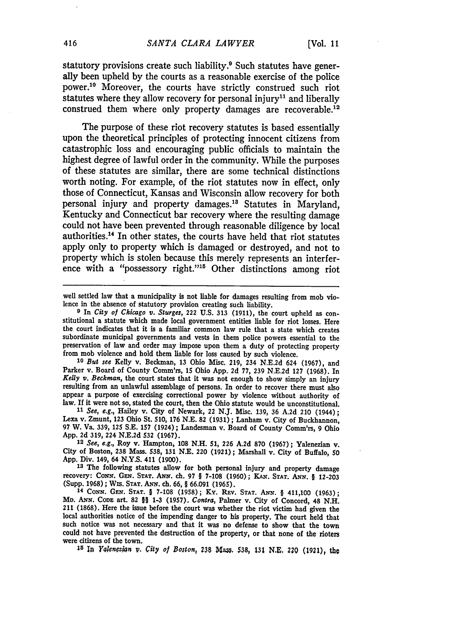statutory provisions create such liability.<sup>9</sup> Such statutes have generally been upheld by the courts as a reasonable exercise of the police power.10 Moreover, the courts have strictly construed such riot statutes where they allow recovery for personal injury<sup>11</sup> and liberally construed them where only property damages are recoverable.<sup>12</sup>

The purpose of these riot recovery statutes is based essentially upon the theoretical principles of protecting innocent citizens from catastrophic loss and encouraging public officials to maintain the highest degree of lawful order in the community. While the purposes of these statutes are similar, there are some technical distinctions worth noting. For example, of the riot statutes now in effect, only those of Connecticut, Kansas and Wisconsin allow recovery for both personal injury and property damages.<sup>13</sup> Statutes in Maryland, Kentucky and Connecticut bar recovery where the resulting damage could not have been prevented through reasonable diligence by local authorities.14 In other states, the courts have held that riot statutes apply only to property which is damaged or destroyed, and not to property which is stolen because this merely represents an interference with a "possessory right."<sup>15</sup> Other distinctions among riot

well settled law that a municipality is not liable for damages resulting from mob vio-<br>lence in the absence of statutory provision creating such liability.

<sup>9</sup> In City of Chicago v. Sturges, 222 U.S. 313 (1911), the court upheld as constitutional a statute which made local government entities liable for riot losses. Here the court indicates that it is a familiar common law rule that a state which creates subordinate municipal governments and vests in them police powers essential to the preservation of law and order may impose upon them a duty of protecting property from mob violence and hold them liable for loss caused by such violence.

*<sup>10</sup>But see* Kelly v. Beckman, **13** Ohio Misc. **219,** 234 **N.E.2d** 624 **(1967),** and Parker v. Board of County Comm'rs, 15 Ohio App. 2d 77, 239 N.E.2d 127 (1968). In *Kelly v. Beckman*, the court states that it was not enough to show simply an injury resulting from an unlawful assemblage of persons. In order to recover there must also appear a purpose of exercising correctional power **by** violence without authority of law. If it were not so, stated the court, then the Ohio statute would be unconstitutional.

**<sup>11</sup>***See, e.g.,* Halley v. City of Newark, 22 **N.J.** Misc. **139,** 36 **A.2d** 210 (1944); Lexa v. Zmunt, **123** Ohio St. **510, 176 N.E. 82 (1931);** Lanham v. City of Buckhannon, 97 W. Va. 339, **125 S.E. 157** (1924) **;** Landesman v. Board of County Comm'rs, 9 Ohio

App. **2d** 319, 224 **N.E.2d 532 (1967). <sup>12</sup>**See, *e.g.,* Roy v. Hampton, **108 N.H. 51, 226 A.2d 870 (1967);** Yalenezian v. City of Boston, **238** Mass. **538, 131 N.E.** 220 **(1921);** Marshall v. City of Buffalo, **50 App.** Div. 149, 64 **N.Y.S.** 411 **(1900).**

**<sup>13</sup>**The following statutes allow for both personal injury and property damage recovery: **CONw. GEN. STAT. ANN.** ch. **97** § **7-108 (1960);** KAN. **STAT. ANN.** *§* **12-203** (Supp. **1968);** WIS. **STAT. ANN.** ch. **66,** § **66.091 (1965). <sup>14</sup>**CoNN. **GEN. STAT.** § **7-108 (1958);** Ky. REv. **STAT.** ANN. § 411,100 **(1963);**

MD. **ANN.** CODE art. **82 §§ 1-3 (1957).** Contra, Palmer v. City of Concord, 48 **N.H.** 211 **(1868).** Here the issue before the court was whether the riot victim had given the local authorities notice of the impending danger to his property. The court held that such notice was not necessary and that it was no defense to show that the town could not have prevented the destruction of the property, or that none of the rioters were citizens of the town.

**<sup>15</sup>In** *Y lonozan* v. *City of Boston,* **238** Xa55, **538, 131 N.E,** *2?Q* **(1921),** the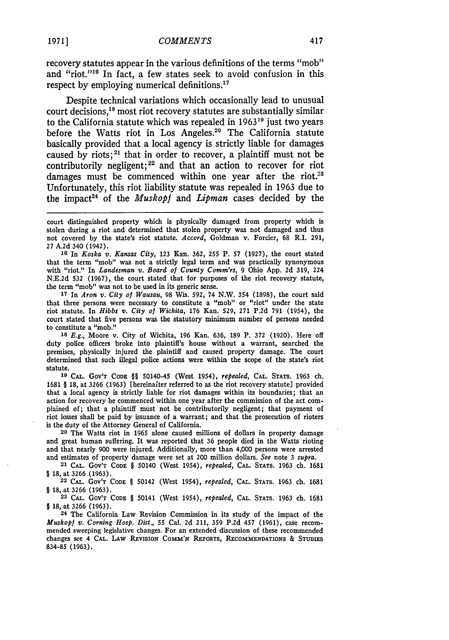recovery statutes appear in the various definitions of the terms "mob" and "riot."<sup>16</sup> In fact, a few states seek to avoid confusion in this respect by employing numerical definitions. $17$ 

Despite technical variations which occasionally lead to unusual court decisions,<sup>18</sup> most riot recovery statutes are substantially similar to the California statute which was repealed in 1963<sup>19</sup> just two years before the Watts riot in Los Angeles.<sup>20</sup> The California statute basically provided that a local agency is strictly liable for damages caused by riots;<sup>21</sup> that in order to recover, a plaintiff must not be contributorily negligent;<sup>22</sup> and that an action to recover for riot damages must be commenced within one year after the riot.<sup>23</sup> Unfortunately, this riot liability statute was repealed in 1963 due to the impact 24 of the *Muskopf* and *Lipman* cases decided by the

**16** In *Koska v. Kansas City,* 123 Kan. **362, 255** P. **57 (1927),** the court stated that the term "mob" was not a strictly legal term and was practically synonymous with "riot." In *Landesman v. Board oj County Comm'rs,* 9 Ohio App. **2d 319,** 224 **N.E.2d 532** (1967), the court stated that for purposes of the riot recovery statute, the term "mob" was not to be used in its generic sense.

**<sup>17</sup>**In *Aron v. City of Wausau,* 98 Wis. **592,** 74 N.W. 354 (1898), the court said that three persons were necessary to constitute a "mob" or "riot" under the state riot statute. In *Hibbs v. City of Wichita,* 176 Kan. **529, 271 P.2d 791** (1954), the court stated that five persons was the statutory minimum number of persons needed to constitute a "mob."

**<sup>18</sup>***E.g.,* Moore v. City of Wichita, 196 Kan. 636, 189 P. **372** (1920). Here off duty police officers broke into plaintiff's house without a warrant, searched the premises, physically injured the plaintiff and caused property damage. The court determined that such illegal police actions were within the scope of the state's riot statute.

**19 CAL.** GOV'T **CODE** §§ 50140-45 (West 1954), *repealed,* **CAL. STATS.** 1963 ch. 1681 § **18,** at 3266 (1963) [hereinafter referred to as the riot recovery statute] provided that a local agency is strictly liable for riot damages within its boundaries; that an action for recovery be commenced within one year after the commission of the act complained of; that a plaintiff must not be contributorily negligent; that payment of riot losses shall be paid **by** issuance of a warrant; and that the prosecution of rioters is the duty of the Attorney General of California.

**20** The Watts riot in 1965 alone caused millions of dollars in property damage and great human suffering. It was reported that 36 people died in the Watts rioting and that nearly 900 were injured. Additionally, more than 4,000 persons were arrested and estimates of property damage were set at 200 million dollars. *See* note 3 *supra.*

**21 CAL.** GOV'T **CODE** § 50140 (West 1954), *repealed,* **CAL. STATS. 1963** ch. **1681** § 18, at **3266** (1963).

**22** CAL. GOV'T **CODE** § 50142 (West 1954), *repealed,* CAL. **STATS.** 1963 ch. 1681 § 18, at **3266** (1963).

**23** CAL. GOV'T **CODE** § 50141 (West 1954), *repealed,* CAL. STATS. 1963 ch. 1681 § 18, at **3266** (1963).

**24** The California Law Revision Commission in its study of the impact of the *Muskopf v. Corning Hosp. Dist.,* **55** Cal. **2d** 211, **359 P.2d** 457 (1961), case recommended sweeping legislative changes. For an extended discussion of these recommended changes see 4 CAL. **LAw REvISION COMM'N** REPORTS, **RECOMMENDATIONS** & **STUDIES 834-85 (1963).**

court distinguished property which is physically damaged from property which is stolen during a riot and determined that stolen property was not damaged and thus not covered by the state's riot statute. *Accord,* Goldman v. Forcier, **68** R.I. 291, 27 A.2d 340 (1942).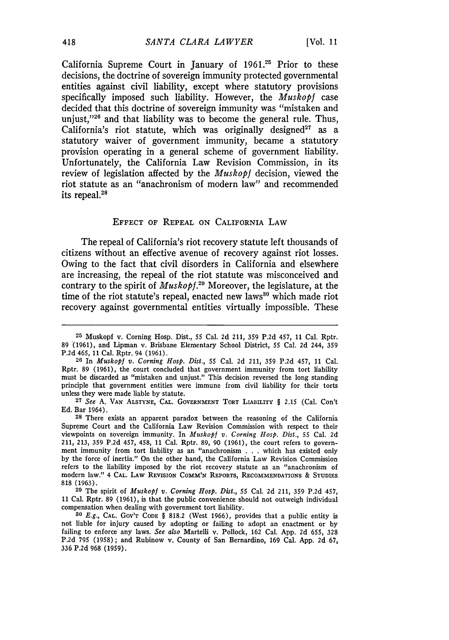California Supreme Court in January of 1961.25 Prior to these decisions, the doctrine of sovereign immunity protected governmental entities against civil liability, except where statutory provisions specifically imposed such liability. However, the *Muskopi* case decided that this doctrine of sovereign immunity was "mistaken and unjust," $26$  and that liability was to become the general rule. Thus, California's riot statute, which was originally designed<sup>27</sup> as a statutory waiver of government immunity, became a statutory provision operating in a general scheme of government liability. Unfortunately, the California Law Revision Commission, in its review of legislation affected by the *Muskopf* decision, viewed the riot statute as an "anachronism of modern law" and recommended its repeal. $^{24}$ 

### EFFECT OF REPEAL **ON** CALIFORNIA LAW

The repeal of California's riot recovery statute left thousands of citizens without an effective avenue of recovery against riot losses. Owing to the fact that civil disorders in California and elsewhere are increasing, the repeal of the riot statute was misconceived and contrary to the spirit of *Muskopf.29* Moreover, the legislature, at the time of the riot statute's repeal, enacted new laws<sup>30</sup> which made riot recovery against governmental entities virtually impossible. These

**<sup>25</sup>** Muskopf v. Corning Hosp. Dist., 55 Cal. 2d 211, 359 P.2d 457, 11 Cal. Rptr. 89 **(1961),** and Lipman v. Brisbane Elementary School District, **55** Cal. **2d** 244, **359 P.2d** 465, 11 Cal. Rptr. 94 (1961).

**<sup>26</sup>**In *Muskopi v. Corning Hosp. Dist.,* **55** Cal. **2d** 211, **359 P.2d** 457, 11 Cal. Rptr. 89 (1961), the court concluded that government immunity from tort liability must be discarded as "mistaken and unjust." This decision reversed the long standing principle that government entities were immune from civil liability for their torts unless they were made liable **by** statute.

**<sup>27</sup>***See* A. **VAN** ALSTYNE, **CAL.** GOVERNMENT TORT LIABILITY § **2.15** (Cal. Con't Ed. Bar 1964).

**<sup>28</sup>** There exists an apparent paradox between the reasoning of the California Supreme Court and the California Law Revision Commission with respect to their viewpoints on sovereign immunity. In *Muskopf v. Corning Hosp. Dist.,* 55 Cal. 2d 211, 213, **359** P.2d 457, 458, 11 Cal. Rptr. 89, 90 (1961), the court refers to government immunity from tort liability as an "anachronism . .. which has existed only by the force of inertia." On the other hand, the California Law Revision Commission refers to the liability imposed by the riot recovery statute as an "anachronism of modern law." 4 **CAL.** LAW REVISION COMM'N REPORTS, RECOMMENDATIONS **&** STUDIES 818 (1963).

**<sup>29</sup>**The spirit of *Muskopf v. Corning Hosp. Dist.,* 55 Cal. 2d 211, 359 P.2d 457, **<sup>11</sup>**Cal. Rptr. 89 (1961), is that the public convenience should not outweigh individual compensation when dealing with government tort liability.

**<sup>80</sup>***E.g.,* **CAL.** GOV'T CODE § 818.2 (West 1966), provides that a public entity is not liable for injury caused by adopting or failing to adopt an enactment or by failing to enforce any laws. *See also* Martelli v. Pollock, 162 Cal. App. 2d 655, **328** P.2d **795** (1958); and Rubinow v. County of San Bernardino, 169 Cal. App. 2d 67, 336 P.2d 968 (1959).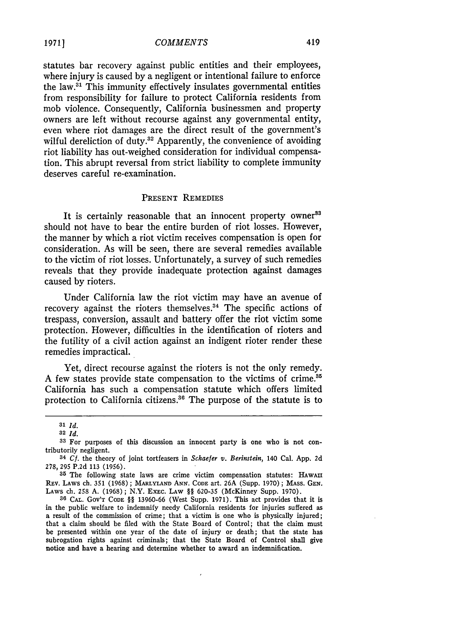statutes bar recovery against public entities and their employees, where injury is caused by a negligent or intentional failure to enforce the **law.31** This immunity effectively insulates governmental entities from responsibility for failure to protect California residents from mob violence. Consequently, California businessmen and property owners are left without recourse against any governmental entity, even where riot damages are the direct result of the government's wilful dereliction of duty.<sup>32</sup> Apparently, the convenience of avoiding riot liability has out-weighed consideration for individual compensation. This abrupt reversal from strict liability to complete immunity deserves careful re-examination.

## PRESENT REMEDIES

It is certainly reasonable that an innocent property owner<sup>33</sup> should not have to bear the entire burden of riot losses. However, the manner by which a riot victim receives compensation is open for consideration. As will be seen, there are several remedies available to the victim of riot losses. Unfortunately, a survey of such remedies reveals that they provide inadequate protection against damages caused by rioters.

Under California law the riot victim may have an avenue of recovery against the rioters themselves. $34$  The specific actions of trespass, conversion, assault and battery offer the riot victim some protection. However, difficulties in the identification of rioters and the futility of a civil action against an indigent rioter render these remedies impractical.

Yet, direct recourse against the rioters is not the only remedy. A few states provide state compensation to the victims of crime **. <sup>5</sup>** California has such a compensation statute which offers limited protection to California citizens.<sup>36</sup> The purpose of the statute is to

*<sup>31</sup> Id.*

**<sup>82</sup>** *Id.*

**<sup>33</sup>** For purposes of this discussion an innocent party is one who is not contributorily negligent.

<sup>34</sup> *Cf.* the theory of joint tortfeasers in *Schaefer v. Berinstein,* 140 Cal. **App.** 2d 278, 295 P.2d 113 (1956).

**<sup>35</sup>** The following state laws are crime victim compensation statutes: **HAwAIU** REv. LAWS ch. 351 (1968); **MARLYLAND ANN. CODE** art. 26A (Supp. 1970); MASS. **GEN.** Laws ch. 258 A. (1968); N.Y. ExEC. Law §§ 620-35 (McKinney Supp. 1970).

**<sup>36</sup>** CAL. GOV'T **CODE** §§ 13960-66 (West Supp. 1971). This act provides that it is in the public welfare to indemnify needy California residents for injuries suffered as a result of the commission of crime; that a victim is one who is physically injured; that a claim should be filed with the State Board of Control; that the claim must be presented within one year of the date of injury or death; that the state has subrogation rights against criminals; that the State Board of Control shall give notice and have a hearing and determine whether to award an indemnification.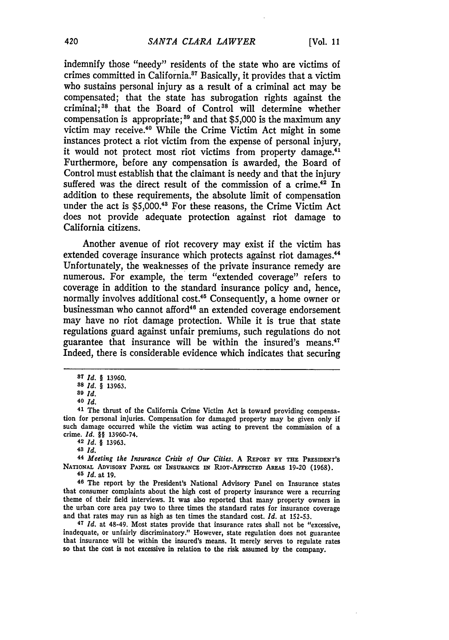indemnify those "needy" residents of the state who are victims of crimes committed in California.87 Basically, it provides that a victim who sustains personal injury as a result of a criminal act may be compensated; that the state has subrogation rights against the criminal; 88 that the Board of Control will determine whether compensation is appropriate;<sup>89</sup> and that \$5,000 is the maximum any victim may receive.<sup>40</sup> While the Crime Victim Act might in some instances protect a riot victim from the expense of personal injury, it would not protect most riot victims from property damage.<sup>41</sup> Furthermore, before any compensation is awarded, the Board of Control must establish that the claimant is needy and that the injury suffered was the direct result of the commission of a crime.<sup>42</sup> In addition to these requirements, the absolute limit of compensation under the act is \$5,000.48 For these reasons, the Crime Victim Act does not provide adequate protection against riot damage to California citizens.

Another avenue of riot recovery may exist if the victim has extended coverage insurance which protects against riot damages.<sup>44</sup> Unfortunately, the weaknesses of the private insurance remedy are numerous. For example, the term "extended coverage" refers to coverage in addition to the standard insurance policy and, hence, normally involves additional cost.<sup>45</sup> Consequently, a home owner or businessman who cannot afford<sup>46</sup> an extended coverage endorsement may have no riot damage protection. While it is true that state regulations guard against unfair premiums, such regulations do not guarantee that insurance will be within the insured's means.<sup>47</sup> Indeed, there is considerable evidence which indicates that securing

**<sup>45</sup>***Id.* at **19. <sup>46</sup>**The report **by** the President's National Advisory Panel on Insurance states that consumer complaints about the high cost of property insurance were a recurring theme of their field interviews. It was also reported that many property owners in the urban core area pay two to three times the standard rates for insurance coverage and that rates may run as high as ten times the standard cost. *Id.* at **152-53.**

**<sup>47</sup>***Id.* at 48-49. Most states provide that insurance rates shall not be "excessive, inadequate, or unfairly discriminatory." However, state regulation does not guarantee that insurance will be within the insured's means. It merely serves to regulate rates so that the cost is not excessive in relation to the risk assumed **by** the company.

**<sup>87</sup>** *Id. §* **13960.**

*<sup>88</sup>Id. §* **13963.**

**<sup>89</sup>** *Id.*

**<sup>40</sup>***Id.*

**<sup>41</sup>** The thrust of the California Crime Victim Act is toward providing compensa**tion** for personal injuries. Compensation for damaged property may be given only if such damage occurred while the victim was acting to prevent the commission of a crime. *Id. §§* **13960-74. <sup>42</sup>***Id. §* **13963.**

**<sup>48</sup>***Id.*

**<sup>44</sup>***Meeting the Insurance Crisis of Our Cities.* **A REPORT BY THE PRESIDENT'S** NATIONAL ADVISORY PANEL ON INSURANCE IN RIOT-AFFECTED AREAS 19-20 (1968).<br><sup>45</sup> *Id.* at 19.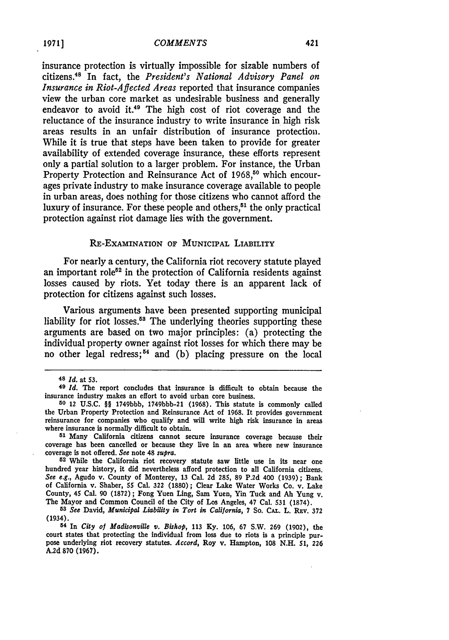insurance protection is virtually impossible for sizable numbers of citizens.4 s In fact, the *President's National Advisory Panel on Insurance in Riot-Affected Areas* reported that insurance companies view the urban core market as undesirable business and generally endeavor to avoid it.<sup>49</sup> The high cost of riot coverage and the reluctance of the insurance industry to write insurance in high risk areas results in an unfair distribution of insurance protection. While it is true that steps have been taken to provide for greater availability of extended coverage insurance, these efforts represent only a partial solution to a larger problem. For instance, the Urban Property Protection and Reinsurance Act of 1968,<sup>50</sup> which encourages private industry to make insurance coverage available to people in urban areas, does nothing for those citizens who cannot afford the luxury of insurance. For these people and others, $51$  the only practical protection against riot damage lies with the government.

## RE-EXAMINATION OF MUNICIPAL LIABILITY

For nearly a century, the California riot recovery statute played an important role<sup> $52$ </sup> in the protection of California residents against losses caused **by** riots. Yet today there is an apparent lack of protection for citizens against such losses.

Various arguments have been presented supporting municipal liability for riot losses.<sup>58</sup> The underlying theories supporting these arguments are based on two major principles: (a) protecting the individual property owner against riot losses for which there may be no other legal redress; 54 and **(b)** placing pressure on the local

**<sup>51</sup>**Many California citizens cannot secure insurance coverage because their coverage has been cancelled or because they live in an area where new insurance coverage is not offered. *See* note 48 *supra.* **<sup>52</sup>**While the California riot recovery statute saw little use in its near one

hundred year history, it did nevertheless afford protection to all California citizens. See e.g., Agudo v. County of Monterey, **13** Cal. **2d 285, 89 P.2d** 400 **(1939);** Bank of California v. Shaber, **55** Cal. **322 (1880);** Clear Lake Water Works Co. v. Lake County, 45 Cal. **90 (1872);** Fong Yuen Ling, Sam Yuen, Yin Tuck and **Ah** Yung v. The Mayor and Common Council of the City of Los Angeles, 47 Cal. **531 (1874).**

**<sup>54</sup>**In *City of Madisonville v. Bishop,* 113 Ky. 106, 67 S.W. 269 (1902), the court states that protecting the individual from loss due to riots is a principle purpose underlying riot recovery statutes. *Accord,* Roy v. Hampton, **108 N.H.** *51,* **226 A.2d 870 (1967).**

**<sup>48</sup>** *Id.* at **53.**

**<sup>49</sup>** *Id.* The report concludes that insurance is difficult to obtain because the insurance industry makes an effort to avoid urban core business.

**<sup>50</sup>** 12 **U.S.C.** §§ **1749bbb, 1749bbb-21 (1968).** This statute is commonly called the Urban Property Protection and Reinsurance Act of **1968.** It provides government reinsurance for companies who qualify and will write high risk insurance in areas where insurance is normally difficult to obtain.

*<sup>53</sup>See* David, *Municipal Liability in Tort in California,* **7** So. **CAL.** L. REV. **372** (1934).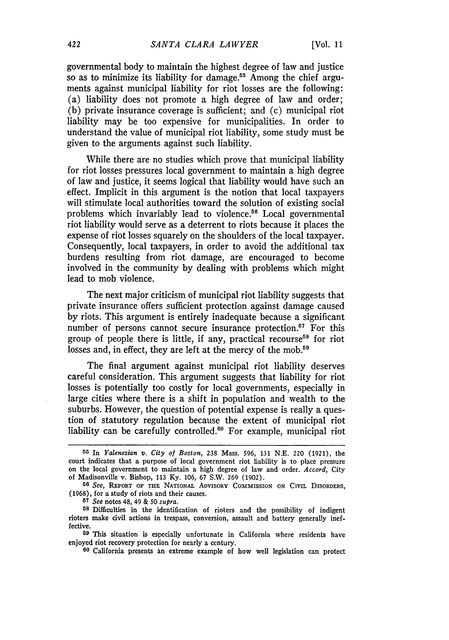governmental body to maintain the highest degree of law and justice so as to minimize its liability for damage.<sup>55</sup> Among the chief arguments against municipal liability for riot losses are the following: (a) liability does not promote a high degree of law and order; (b) private insurance coverage is sufficient; and (c) municipal riot liability may be too expensive for municipalities. In order to understand the value of municipal riot liability, some study must be given to the arguments against such liability.

While there are no studies which prove that municipal liability for riot losses pressures local government to maintain a high degree of law and justice, it seems logical that liability would have such an effect. Implicit in this argument is the notion that local taxpayers will stimulate local authorities toward the solution of existing social problems which invariably lead to violence.56 Local governmental riot liability would serve as a deterrent to riots because it places the expense of riot losses squarely on the shoulders of the local taxpayer. Consequently, local taxpayers, in order to avoid the additional tax burdens resulting from riot damage, are encouraged to become involved in the community by dealing with problems which might lead to mob violence.

The next major criticism of municipal riot liability suggests that private insurance offers sufficient protection against damage caused by riots. This argument is entirely inadequate because a significant number of persons cannot secure insurance protection.<sup>57</sup> For this group of people there is little, if any, practical recourse<sup>58</sup> for riot losses and, in effect, they are left at the mercy of the mob.<sup>59</sup>

The final argument against municipal riot liability deserves careful consideration. This argument suggests that liability for riot losses is potentially too costly for local governments, especially in large cities where there is a shift in population and wealth to the suburbs. However, the question of potential expense is really a question of statutory regulation because the extent of municipal riot liability can be carefully controlled.<sup>60</sup> For example, municipal riot

**<sup>55</sup>** In *Yalenezian v. City of Boston,* **238** Mass. 596, 131 N.E. 220 (1921), the court indicates that a purpose of local government riot liability is to place pressure on the local government to maintain a high degree of law and order. *Accord,* City of Madisonville v. Bishop, **113 Ky. 106,** 67 S.W. **269 (1902).**

**<sup>56</sup>** *See,* REPORT OF THE NATIONAL ADVISORY COMMISSION **ON CIVIL** DISORDERS, (1968), for a study of riots and their causes.

**<sup>57</sup>***See* notes 48, 49 & **50** *supra.*

**<sup>58</sup>**Difficulties in the identification of rioters and the possibility of indigent rioters make civil actions in trespass, conversion, assault and battery generally ineffective.

**<sup>59</sup>** This situation is especially unfortunate in California where residents have enjoyed riot recovery protection for nearly a century.

**<sup>60</sup>** California presents an extreme example of how well legislation can protect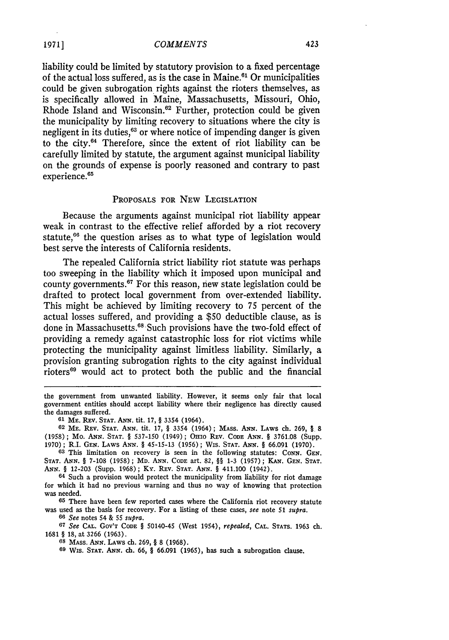liability could be limited by statutory provision to a fixed percentage of the actual loss suffered, as is the case in Maine. $61$  Or municipalities could be given subrogation rights against the rioters themselves, as is specifically allowed in Maine, Massachusetts, Missouri, Ohio, Rhode Island and Wisconsin.<sup>62</sup> Further, protection could be given the municipality by limiting recovery to situations where the city is negligent in its duties,<sup>63</sup> or where notice of impending danger is given to the city.64 Therefore, since the extent of riot liability can be carefully limited by statute, the argument against municipal liability on the grounds of expense is poorly reasoned and contrary to past experience.<sup>65</sup>

#### PROPOSALS FOR NEW LEGISLATION

Because the arguments against municipal riot liability appear weak in contrast to the effective relief afforded by a riot recovery statute,<sup>66</sup> the question arises as to what type of legislation would best serve the interests of California residents.

The repealed California strict liability riot statute was perhaps too sweeping in the liability which it imposed upon municipal and county governments. $67$  For this reason, new state legislation could be drafted to protect local government from over-extended liability. This might be achieved by limiting recovery to 75 percent of the actual losses suffered, and providing a \$50 deductible clause, as is done in Massachusetts.<sup>68</sup> Such provisions have the two-fold effect of providing a remedy against catastrophic loss for riot victims while protecting the municipality against limitless liability. Similarly, a provision granting subrogation rights to the city against individual rioters<sup>69</sup> would act to protect both the public and the financial

**61 ME.** REV. **STAT. ANN.** tit. **17,** § 3354 (1964).

**64** Such a provision would protect the municipality from liability for riot damage for which it had no previous warning and thus no way of knowing that protection was needed.

**65** There have been few reported cases where the California riot recovery statute was used as the basis for recovery. For a listing of these cases, *see* note **51** *supra.* **66** *See* notes 54 & 55 *supra.*

**67** *See* CAL. **GOv'T CODE** § 50140-45 (West 1954), *repealed,* **CAL. STATS.** 1963 ch. 1681 § 18, at 3266 (1963).

**68** MASS. ANN. LAWS ch. 269, § 8 (1968).

**69** Wis. **STAT. ANN. ch. 66,** § **66.091 (1965),** has such a subrogation clause.

the government from unwanted liability. However, it seems only fair that local government entities should accept liability where their negligence has directly caused the damages suffered.

**<sup>62</sup> ME. REV. STAT. ANN.** tit. **17,** § 3354 (1964); **MAss. ANN. LAWS** ch. 269, § **8 (1958); Mo. ANN. STAT.** § 537-150 (1949); Onro **REV. CODE ANN.** § **3761.08** (Supp. **1970);** R.I. **GEN. LAWS ANN.** § **45-15-13 (1956);** WIS. **STAT.** *ANN.* § **66.091 (1970).**

**<sup>63</sup> This limitation on** recovery is seen **in the following statutes:** CONN. **GEN. STAT. ANN.** § **7-108 (1958); MD. ANN. CODE art. 82,** §§ **1-3 (1957); KAN. GEN. STAT. ANN.** *§* **12-203** (Supp. **1968);** Ky. **REV. STAT.** ANN. *§* **411.100 (1942).**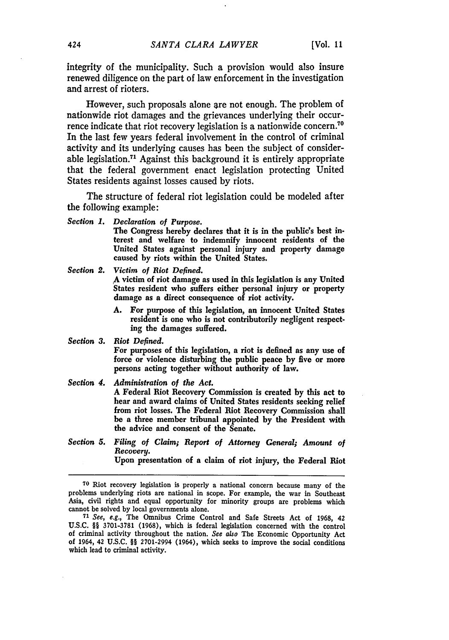integrity of the municipality. Such a provision would also insure renewed diligence on the part of law enforcement in the investigation and arrest of rioters.

However, such proposals alone are not enough. The problem of nationwide riot damages and the grievances underlying their occurrence indicate that riot recovery legislation is a nationwide concern.<sup>70</sup> In the last few years federal involvement in the control of criminal activity and its underlying causes has been the subject of considerable legislation.71 Against this background it is entirely appropriate that the federal government enact legislation protecting United States residents against losses caused by riots.

The structure of federal riot legislation could be modeled after the following example:

*Section 1. Declaration of Purpose.*

The Congress hereby declares that it is in the public's best interest and welfare to indemnify innocent residents of the United States against personal injury and property damage caused **by** riots within the United States.

*Section 2. Victim of Riot Defined.* **A** victim of riot damage as used in this legislation is any United States resident who suffers either personal injury or property damage as a direct consequence of riot activity.

> **A.** For purpose of this legislation, an innocent United States resident is one who is not contributorily negligent respecting the damages suffered.

*Section 3. Riot Defined.* For purposes of this legislation, a riot is defined as any use of force or violence disturbing the public peace by five or more persons acting together without authority of law.

*Section 4. Administration of the Act.* A Federal Riot Recovery Commission is created **by** this act to hear and award claims of United States residents seeking relief from riot losses. The Federal Riot Recovery Commission shall be a three member tribunal appointed **by** the President with the advice and consent of the Senate.

*Section 5. Filing of Claim; Report of Attorney General; Amount of Recovery.* Upon presentation of a claim of riot injury, the Federal Riot

**70** Riot recovery legislation is properly a national concern because many of the problems underlying riots are national in scope. For example, the war in Southeast Asia, civil rights and equal opportunity for minority groups are problems which cannot be solved **by** local governments alone.

*71* See, e.g., The Omnibus Crime Control and Safe Streets Act of **1968,** 42 U.S.C. §§ 3701-3781 (1968), which is federal legislation concerned with the control of criminal activity throughout the nation. *See also* The Economic Opportunity Act of 1964, 42 U.S.C. §§ 2701-2994 (1964), which seeks to improve the social conditions which lead to criminal activity.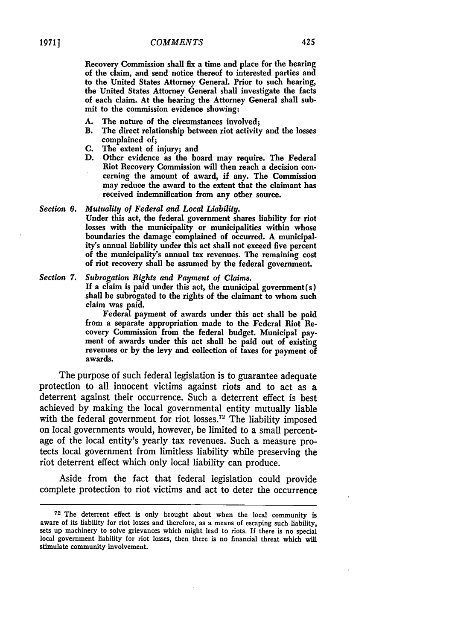Recovery Commission shall fix a time and place for the hearing of the claim, and send notice thereof to interested parties and to the United States Attorney General. Prior to such hearing, the United States Attorney General shall investigate the facts of each claim. At the hearing the Attorney General shall submit to the commission evidence showing:

- **A.** The nature of the circumstances involved;
- B. The direct relationship between riot activity and the losses complained of;
- **C.** The extent of injury; and
- **D.** Other evidence as the board may require. The Federal Riot Recovery Commission will then reach a decision concerning the amount of award, if any. The Commission may reduce the award to the extent that the claimant has received indemnification from any other source.

#### *Section 6. Mutuality of Federal and Local Liability.*

Under this act, the federal government shares liability for riot losses with the municipality or municipalities within whose boundaries the damage complained of occurred. **A** municipality's annual liability under this act shall not exceed five percent of the municipality's annual tax revenues. The remaining cost of riot recovery shall be assumed **by** the federal government.

## *Section 7. Subrogation Rights and Payment of Claims.*

**If** a claim is paid under this act, the municipal government(s) shall be subrogated to the rights of the claimant to whom such claim was paid.

Federal payment of awards under this act shall be paid from a separate appropriation made to the Federal Riot Recovery Commission from the federal budget. Municipal payment of awards under this act shall be paid out of existing revenues or **by** the levy and collection of taxes for payment of awards.

The purpose of such federal legislation is to guarantee adequate protection to all innocent victims against riots and to act as a deterrent against their occurrence. Such a deterrent effect is best achieved by making the local governmental entity mutually liable with the federal government for riot losses.<sup>72</sup> The liability imposed on local governments would, however, be limited to a small percentage of the local entity's yearly tax revenues. Such a measure protects local government from limitless liability while preserving the riot deterrent effect which only local liability can produce.

Aside from the fact that federal legislation could provide complete protection to riot victims and act to deter the occurrence

**<sup>72</sup>**The deterrent effect is only brought about when the local community is aware of its liability for riot losses and therefore, as a means of escaping such liability, sets up machinery to solve grievances which might lead to riots. **If** there is no special local government liability for riot losses, then there is no financial threat which will stimulate community involvement.